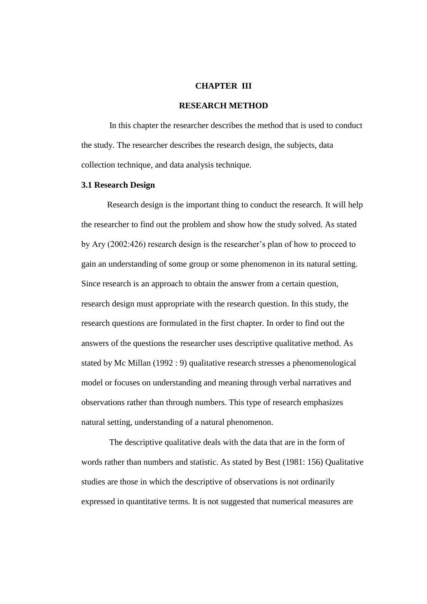## **CHAPTER III**

#### **RESEARCH METHOD**

In this chapter the researcher describes the method that is used to conduct the study. The researcher describes the research design, the subjects, data collection technique, and data analysis technique.

## **3.1 Research Design**

Research design is the important thing to conduct the research. It will help the researcher to find out the problem and show how the study solved. As stated by Ary (2002:426) research design is the researcher's plan of how to proceed to gain an understanding of some group or some phenomenon in its natural setting. Since research is an approach to obtain the answer from a certain question, research design must appropriate with the research question. In this study, the research questions are formulated in the first chapter. In order to find out the answers of the questions the researcher uses descriptive qualitative method. As stated by Mc Millan (1992 : 9) qualitative research stresses a phenomenological model or focuses on understanding and meaning through verbal narratives and observations rather than through numbers. This type of research emphasizes natural setting, understanding of a natural phenomenon.

The descriptive qualitative deals with the data that are in the form of words rather than numbers and statistic. As stated by Best (1981: 156) Qualitative studies are those in which the descriptive of observations is not ordinarily expressed in quantitative terms. It is not suggested that numerical measures are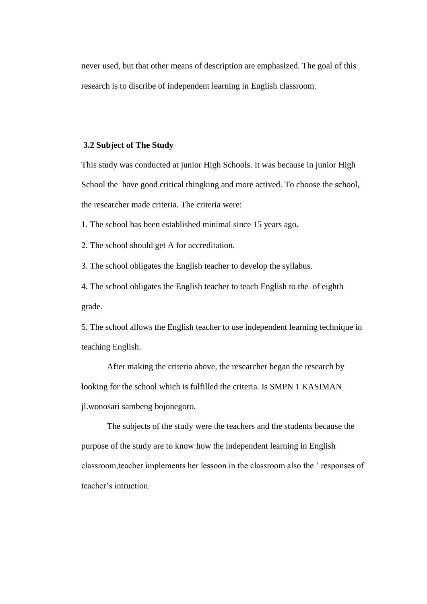never used, but that other means of description are emphasized. The goal of this research is to discribe of independent learning in English classroom.

## **3.2 Subject of The Study**

This study was conducted at junior High Schools. It was because in junior High School the have good critical thingking and more actived. To choose the school, the researcher made criteria. The criteria were:

1. The school has been established minimal since 15 years ago.

2. The school should get A for accreditation.

3. The school obligates the English teacher to develop the syllabus.

4. The school obligates the English teacher to teach English to the of eighth grade.

5. The school allows the English teacher to use independent learning technique in teaching English.

After making the criteria above, the researcher began the research by looking for the school which is fulfilled the criteria. Is SMPN 1 KASIMAN jl.wonosari sambeng bojonegoro.

The subjects of the study were the teachers and the students because the purpose of the study are to know how the independent learning in English classroom,teacher implements her lessoon in the classroom also the ' responses of teacher's intruction.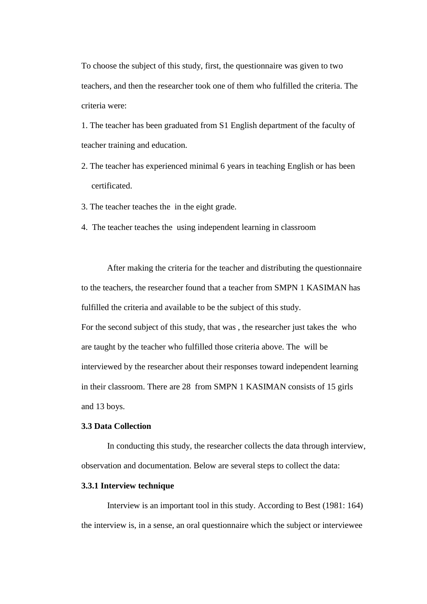To choose the subject of this study, first, the questionnaire was given to two teachers, and then the researcher took one of them who fulfilled the criteria. The criteria were:

1. The teacher has been graduated from S1 English department of the faculty of teacher training and education.

2. The teacher has experienced minimal 6 years in teaching English or has been certificated.

3. The teacher teaches the in the eight grade.

4. The teacher teaches the using independent learning in classroom

After making the criteria for the teacher and distributing the questionnaire to the teachers, the researcher found that a teacher from SMPN 1 KASIMAN has fulfilled the criteria and available to be the subject of this study.

For the second subject of this study, that was , the researcher just takes the who are taught by the teacher who fulfilled those criteria above. The will be interviewed by the researcher about their responses toward independent learning in their classroom. There are 28 from SMPN 1 KASIMAN consists of 15 girls and 13 boys.

### **3.3 Data Collection**

 In conducting this study, the researcher collects the data through interview, observation and documentation. Below are several steps to collect the data:

## **3.3.1 Interview technique**

 Interview is an important tool in this study. According to Best (1981: 164) the interview is, in a sense, an oral questionnaire which the subject or interviewee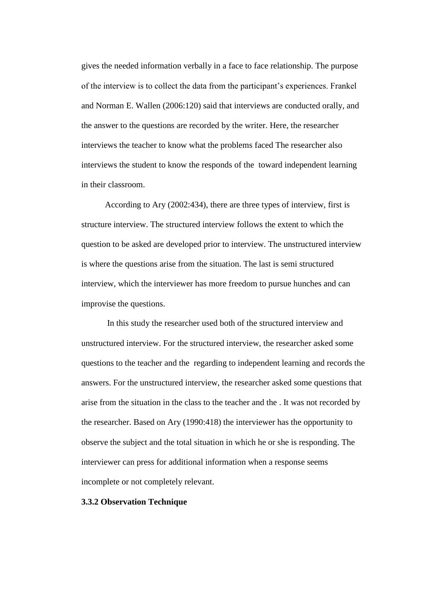gives the needed information verbally in a face to face relationship. The purpose of the interview is to collect the data from the participant's experiences. Frankel and Norman E. Wallen (2006:120) said that interviews are conducted orally, and the answer to the questions are recorded by the writer. Here, the researcher interviews the teacher to know what the problems faced The researcher also interviews the student to know the responds of the toward independent learning in their classroom.

 According to Ary (2002:434), there are three types of interview, first is structure interview. The structured interview follows the extent to which the question to be asked are developed prior to interview. The unstructured interview is where the questions arise from the situation. The last is semi structured interview, which the interviewer has more freedom to pursue hunches and can improvise the questions.

 In this study the researcher used both of the structured interview and unstructured interview. For the structured interview, the researcher asked some questions to the teacher and the regarding to independent learning and records the answers. For the unstructured interview, the researcher asked some questions that arise from the situation in the class to the teacher and the . It was not recorded by the researcher. Based on Ary (1990:418) the interviewer has the opportunity to observe the subject and the total situation in which he or she is responding. The interviewer can press for additional information when a response seems incomplete or not completely relevant.

#### **3.3.2 Observation Technique**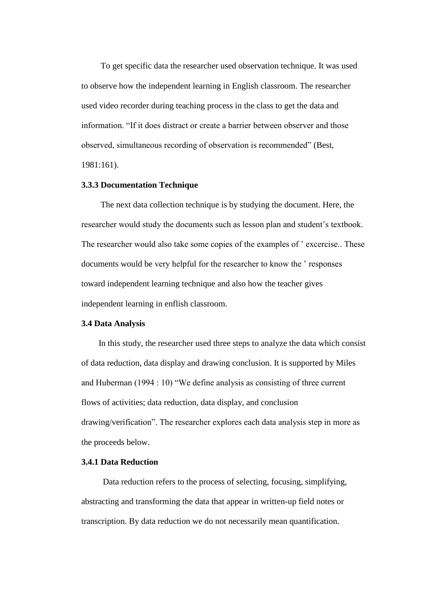To get specific data the researcher used observation technique. It was used to observe how the independent learning in English classroom. The researcher used video recorder during teaching process in the class to get the data and information. "If it does distract or create a barrier between observer and those observed, simultaneous recording of observation is recommended" (Best, 1981:161).

#### **3.3.3 Documentation Technique**

 The next data collection technique is by studying the document. Here, the researcher would study the documents such as lesson plan and student's textbook. The researcher would also take some copies of the examples of ' excercise.. These documents would be very helpful for the researcher to know the ' responses toward independent learning technique and also how the teacher gives independent learning in enflish classroom.

#### **3.4 Data Analysis**

 In this study, the researcher used three steps to analyze the data which consist of data reduction, data display and drawing conclusion. It is supported by Miles and Huberman (1994 : 10) "We define analysis as consisting of three current flows of activities; data reduction, data display, and conclusion drawing/verification". The researcher explores each data analysis step in more as the proceeds below.

# **3.4.1 Data Reduction**

 Data reduction refers to the process of selecting, focusing, simplifying, abstracting and transforming the data that appear in written-up field notes or transcription. By data reduction we do not necessarily mean quantification.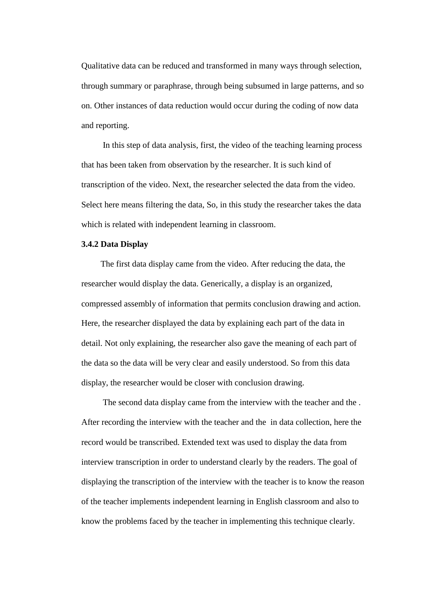Qualitative data can be reduced and transformed in many ways through selection, through summary or paraphrase, through being subsumed in large patterns, and so on. Other instances of data reduction would occur during the coding of now data and reporting.

 In this step of data analysis, first, the video of the teaching learning process that has been taken from observation by the researcher. It is such kind of transcription of the video. Next, the researcher selected the data from the video. Select here means filtering the data, So, in this study the researcher takes the data which is related with independent learning in classroom.

### **3.4.2 Data Display**

 The first data display came from the video. After reducing the data, the researcher would display the data. Generically, a display is an organized, compressed assembly of information that permits conclusion drawing and action. Here, the researcher displayed the data by explaining each part of the data in detail. Not only explaining, the researcher also gave the meaning of each part of the data so the data will be very clear and easily understood. So from this data display, the researcher would be closer with conclusion drawing.

 The second data display came from the interview with the teacher and the . After recording the interview with the teacher and the in data collection, here the record would be transcribed. Extended text was used to display the data from interview transcription in order to understand clearly by the readers. The goal of displaying the transcription of the interview with the teacher is to know the reason of the teacher implements independent learning in English classroom and also to know the problems faced by the teacher in implementing this technique clearly.